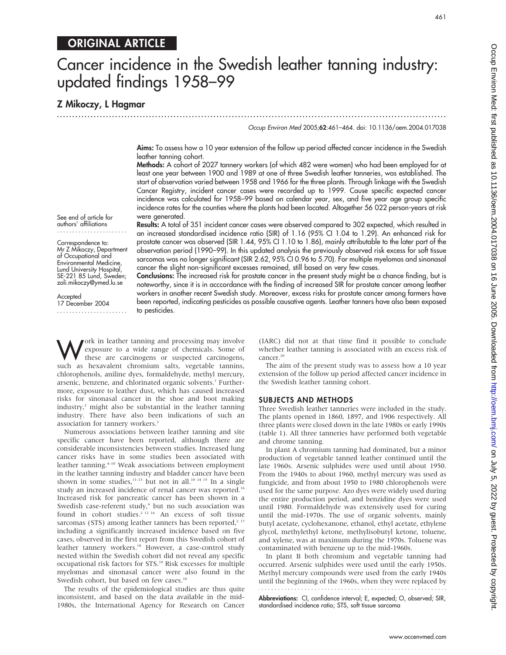# ORIGINAL ARTICLE

# Cancer incidence in the Swedish leather tanning industry: updated findings 1958–99

...............................................................................................................................

Z Mikoczy, L Hagmar

Occup Environ Med 2005;62:461–464. doi: 10.1136/oem.2004.017038

Aims: To assess how a 10 year extension of the follow up period affected cancer incidence in the Swedish leather tanning cohort.

Methods: A cohort of 2027 tannery workers (of which 482 were women) who had been employed for at least one year between 1900 and 1989 at one of three Swedish leather tanneries, was established. The start of observation varied between 1958 and 1966 for the three plants. Through linkage with the Swedish Cancer Registry, incident cancer cases were recorded up to 1999. Cause specific expected cancer incidence was calculated for 1958–99 based on calendar year, sex, and five year age group specific incidence rates for the counties where the plants had been located. Altogether 56 022 person-years at risk were generated.

Results: A total of 351 incident cancer cases were observed compared to 302 expected, which resulted in an increased standardised incidence ratio (SIR) of 1.16 (95% CI 1.04 to 1.29). An enhanced risk for prostate cancer was observed (SIR 1.44, 95% CI 1.10 to 1.86), mainly attributable to the later part of the observation period (1990–99). In this updated analysis the previously observed risk excess for soft tissue

See end of article for authors' affiliations .......................

Correspondence to: Mr Z Mikoczy, Department of Occupational and Environmental Medicine, Lund University Hospital, SE-221 85 Lund, Sweden; zoli.mikoczy@ymed.lu.se

Accepted 17 December 2004 ....................... sarcomas was no longer significant (SIR 2.62, 95% CI 0.96 to 5.70). For multiple myelomas and sinonasal cancer the slight non-significant excesses remained, still based on very few cases. Conclusions: The increased risk for prostate cancer in the present study might be a chance finding, but is noteworthy, since it is in acccordance with the finding of increased SIR for prostate cancer among leather workers in another recent Swedish study. Moreover, excess risks for prostate cancer among farmers have been reported, indicating pesticides as possible causative agents. Leather tanners have also been exposed

Work in leather tanning and processing may involve<br>these are carcinogens or suspected carcinogens,<br>evolved as beyavelent chromium selts, weretable tanning exposure to a wide range of chemicals. Some of these are carcinogens or suspected carcinogens, such as hexavalent chromium salts, vegetable tannins, chlorophenols, aniline dyes, formaldehyde, methyl mercury, arsenic, benzene, and chlorinated organic solvents.<sup>1</sup> Furthermore, exposure to leather dust, which has caused increased risks for sinonasal cancer in the shoe and boot making  $industry<sub>r</sub><sup>2</sup>$  might also be substantial in the leather tanning industry. There have also been indications of such an association for tannery workers.<sup>3</sup>

to pesticides.

Numerous associations between leather tanning and site specific cancer have been reported, although there are considerable inconsistencies between studies. Increased lung cancer risks have in some studies been associated with leather tanning.<sup>4-10</sup> Weak associations between employment in the leather tanning industry and bladder cancer have been shown in some studies, $11-13$  but not in all.<sup>10 14 15</sup> In a single study an increased incidence of renal cancer was reported.<sup>16</sup> Increased risk for pancreatic cancer has been shown in a Swedish case-referent study,<sup>9</sup> but no such association was found in cohort studies.<sup>2 12 16</sup> An excess of soft tissue sarcomas (STS) among leather tanners has been reported,<sup>2 17</sup> including a significantly increased incidence based on five cases, observed in the first report from this Swedish cohort of leather tannery workers.<sup>18</sup> However, a case-control study nested within the Swedish cohort did not reveal any specific occupational risk factors for STS.19 Risk excesses for multiple myelomas and sinonasal cancer were also found in the Swedish cohort, but based on few cases.<sup>18</sup>

The results of the epidemiological studies are thus quite inconsistent, and based on the data available in the mid-1980s, the International Agency for Research on Cancer (IARC) did not at that time find it possible to conclude whether leather tanning is associated with an excess risk of cancer.<sup>20</sup>

The aim of the present study was to assess how a 10 year extension of the follow up period affected cancer incidence in the Swedish leather tanning cohort.

#### SUBJECTS AND METHODS

Three Swedish leather tanneries were included in the study. The plants opened in 1860, 1897, and 1906 respectively. All three plants were closed down in the late 1980s or early 1990s (table 1). All three tanneries have performed both vegetable and chrome tanning.

In plant A chromium tanning had dominated, but a minor production of vegetable tanned leather continued until the late 1960s. Arsenic sulphides were used until about 1950. From the 1940s to about 1960, methyl mercury was used as fungicide, and from about 1950 to 1980 chlorophenols were used for the same purpose. Azo dyes were widely used during the entire production period, and benzidine dyes were used until 1980. Formaldehyde was extensively used for curing until the mid-1970s. The use of organic solvents, mainly butyl acetate, cyclohexanone, ethanol, ethyl acetate, ethylene glycol, methylethyl ketone, methylisobutyl ketone, toluene, and xylene, was at maximum during the 1970s. Toluene was contaminated with benzene up to the mid-1960s.

In plant B both chromium and vegetable tanning had occurred. Arsenic sulphides were used until the early 1950s. Methyl mercury compounds were used from the early 1940s until the beginning of the 1960s, when they were replaced by 

Abbreviations: CI, confidence interval; E, expected; O, observed; SIR, standardised incidence ratio; STS, soft tissue sarcoma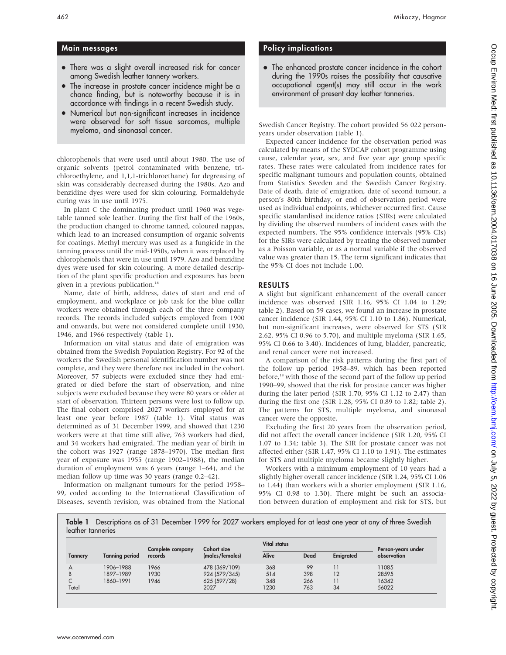## Main messages

- There was a slight overall increased risk for cancer among Swedish leather tannery workers.
- The increase in prostate cancer incidence might be a chance finding, but is noteworthy because it is in accordance with findings in a recent Swedish study.
- Numerical but non-significant increases in incidence were observed for soft tissue sarcomas, multiple myeloma, and sinonasal cancer.

chlorophenols that were used until about 1980. The use of organic solvents (petrol contaminated with benzene, trichloroethylene, and 1,1,1-trichloroethane) for degreasing of skin was considerably decreased during the 1980s. Azo and benzidine dyes were used for skin colouring. Formaldehyde curing was in use until 1975.

In plant C the dominating product until 1960 was vegetable tanned sole leather. During the first half of the 1960s, the production changed to chrome tanned, coloured nappas, which lead to an increased consumption of organic solvents for coatings. Methyl mercury was used as a fungicide in the tanning process until the mid-1950s, when it was replaced by chlorophenols that were in use until 1979. Azo and benzidine dyes were used for skin colouring. A more detailed description of the plant specific production and exposures has been given in a previous publication.<sup>18</sup>

Name, date of birth, address, dates of start and end of employment, and workplace or job task for the blue collar workers were obtained through each of the three company records. The records included subjects employed from 1900 and onwards, but were not considered complete until 1930, 1946, and 1966 respectively (table 1).

Information on vital status and date of emigration was obtained from the Swedish Population Registry. For 92 of the workers the Swedish personal identification number was not complete, and they were therefore not included in the cohort. Moreover, 57 subjects were excluded since they had emigrated or died before the start of observation, and nine subjects were excluded because they were 80 years or older at start of observation. Thirteen persons were lost to follow up. The final cohort comprised 2027 workers employed for at least one year before 1987 (table 1). Vital status was determined as of 31 December 1999, and showed that 1230 workers were at that time still alive, 763 workers had died, and 34 workers had emigrated. The median year of birth in the cohort was 1927 (range 1878–1970). The median first year of exposure was 1955 (range 1902–1988), the median duration of employment was 6 years (range 1–64), and the median follow up time was 30 years (range 0.2–42).

Information on malignant tumours for the period 1958– 99, coded according to the International Classification of Diseases, seventh revision, was obtained from the National

## Policy implications

• The enhanced prostate cancer incidence in the cohort during the 1990s raises the possibility that causative occupational agent(s) may still occur in the work environment of present day leather tanneries.

Swedish Cancer Registry. The cohort provided 56 022 personyears under observation (table 1).

Expected cancer incidence for the observation period was calculated by means of the SYDCAP cohort programme using cause, calendar year, sex, and five year age group specific rates. These rates were calculated from incidence rates for specific malignant tumours and population counts, obtained from Statistics Sweden and the Swedish Cancer Registry. Date of death, date of emigration, date of second tumour, a person's 80th birthday, or end of observation period were used as individual endpoints, whichever occurred first. Cause specific standardised incidence ratios (SIRs) were calculated by dividing the observed numbers of incident cases with the expected numbers. The 95% confidence intervals (95% CIs) for the SIRs were calculated by treating the observed number as a Poisson variable, or as a normal variable if the observed value was greater than 15. The term significant indicates that the 95% CI does not include 1.00.

### RESULTS

A slight but significant enhancement of the overall cancer incidence was observed (SIR 1.16, 95% CI 1.04 to 1.29; table 2). Based on 59 cases, we found an increase in prostate cancer incidence (SIR 1.44, 95% CI 1.10 to 1.86). Numerical, but non-significant increases, were observed for STS (SIR 2.62, 95% CI 0.96 to 5.70), and multiple myeloma (SIR 1.65, 95% CI 0.66 to 3.40). Incidences of lung, bladder, pancreatic, and renal cancer were not increased.

A comparison of the risk patterns during the first part of the follow up period 1958–89, which has been reported before,<sup>18</sup> with those of the second part of the follow up period 1990–99, showed that the risk for prostate cancer was higher during the later period (SIR 1.70, 95% CI 1.12 to 2.47) than during the first one (SIR 1.28, 95% CI 0.89 to 1.82; table 2). The patterns for STS, multiple myeloma, and sinonasal cancer were the opposite.

Excluding the first 20 years from the observation period, did not affect the overall cancer incidence (SIR 1.20, 95% CI 1.07 to 1.34; table 3). The SIR for prostate cancer was not affected either (SIR 1.47, 95% CI 1.10 to 1.91). The estimates for STS and multiple myeloma became slightly higher.

Workers with a minimum employment of 10 years had a slightly higher overall cancer incidence (SIR 1.24, 95% CI 1.06 to 1.44) than workers with a shorter employment (SIR 1.16, 95% CI 0.98 to 1.30). There might be such an association between duration of employment and risk for STS, but

Table 1 Descriptions as of 31 December 1999 for 2027 workers employed for at least one year at any of three Swedish leather tanneries

|         |                       | Complete company | Cohort size     | Vital status |      |           | Person-years under |
|---------|-----------------------|------------------|-----------------|--------------|------|-----------|--------------------|
| Tannery | <b>Tanning period</b> | records          | (males/females) | Alive        | Dead | Emigrated | observation        |
| A       | 1906-1988             | 1966             | 478 (369/109)   | 368          | 99   |           | 11085              |
| B       | 1897-1989             | 1930             | 924 (579/345)   | 514          | 398  | 12        | 28595              |
|         | 1860-1991             | 1946             | 625 (597/28)    | 348          | 266  |           | 16342              |
| Total   |                       |                  | 2027            | 1230         | 763  | 34        | 56022              |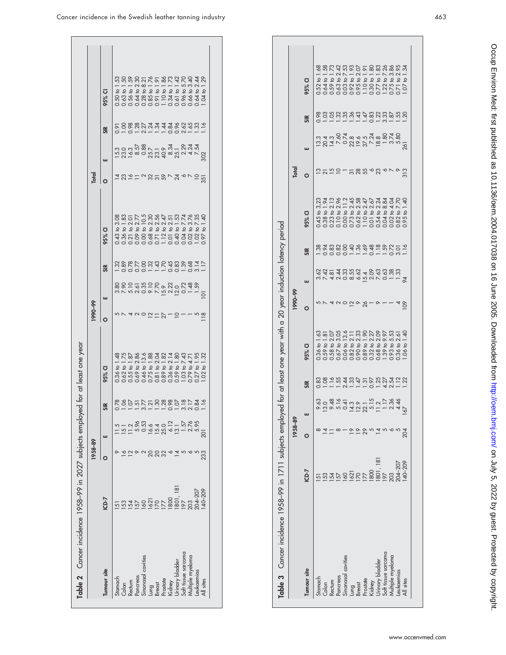|                                        |                          | 1958-89 |                                    |                                                   |                                                                                              | 66-066        |                                              |                       |                                                                                                                                                            | Total     |   |     |                                                                                                                                                                                                                                                                                                     |
|----------------------------------------|--------------------------|---------|------------------------------------|---------------------------------------------------|----------------------------------------------------------------------------------------------|---------------|----------------------------------------------|-----------------------|------------------------------------------------------------------------------------------------------------------------------------------------------------|-----------|---|-----|-----------------------------------------------------------------------------------------------------------------------------------------------------------------------------------------------------------------------------------------------------------------------------------------------------|
| lumour site                            | ICD-7                    |         |                                    | $\simeq$                                          | 95% CI                                                                                       |               | щ                                            | SIR                   | 95% CI                                                                                                                                                     |           | ш | SIR | 95% CI                                                                                                                                                                                                                                                                                              |
|                                        | 5                        |         |                                    |                                                   | $-48$<br>$0.36$ to $\overline{0}$                                                            |               |                                              |                       |                                                                                                                                                            |           |   |     | .53                                                                                                                                                                                                                                                                                                 |
| Stomach<br>Colon                       |                          |         |                                    | <u>ន</u> ្ល័ទ្ធប្អូ <u>បមន្ទ្រី ដូច្ន</u> ី ដូច្ន | $0.62$ to $1.75$                                                                             |               | ៷៸៷៷៰៰៸៸៷៑៴៷៰ <i>៶</i><br>៙៓ៜ៑៰៓៓៰៓៰៴៴៓៓៰៓៓៓ | 288789777999977799777 | 043 to 3.88<br>0.38 to 1.82<br>0.36 to 1.82 5.88<br>0.36 to 1.82 5.88<br>0.36 0.57 to 1.53<br>0.04 to 1.2 to 3.72<br>0.004 to 1.2 to 3.00<br>0.004 to 3.72 |           |   |     | $\begin{array}{l} 5.30 & 0 & 1.53 \\ 0.63 & 0 & 1.78 \\ 0.63 & 0 & 2.7 \\ 0.63 & 0 & 0.7 \\ 0.63 & 0 & 0.7 \\ 0.63 & 0 & 0.7 \\ 0.63 & 0 & 0.7 \\ 0.63 & 0 & 0.7 \\ 0.63 & 0 & 0.7 \\ 0.63 & 0 & 0.7 \\ 0.63 & 0 & 0.7 \\ 0.63 & 0 & 0.7 \\ 0.64 & 0 & 0.7 \\ 0.65 & 0 & 0.7 \\ 0.67 & 0 & 0.7 \\ $ |
|                                        |                          |         | 1.2                                |                                                   | $0.55$ to $1.87$<br>$0.69$ to $2.86$                                                         |               |                                              |                       |                                                                                                                                                            | 23        |   |     |                                                                                                                                                                                                                                                                                                     |
| Rectum<br>Pancreas                     |                          |         |                                    |                                                   |                                                                                              |               |                                              |                       |                                                                                                                                                            |           |   |     |                                                                                                                                                                                                                                                                                                     |
| Sinonasal cavities                     | $\infty$                 |         |                                    |                                                   |                                                                                              |               |                                              |                       |                                                                                                                                                            |           |   |     |                                                                                                                                                                                                                                                                                                     |
|                                        | 621                      |         |                                    |                                                   | $0.46$ to $13.6$<br>$0.75$ to $1.88$                                                         |               |                                              |                       |                                                                                                                                                            |           |   |     |                                                                                                                                                                                                                                                                                                     |
| Lung<br>Breast                         | $\overline{0}$           |         |                                    |                                                   |                                                                                              |               |                                              |                       |                                                                                                                                                            |           |   |     |                                                                                                                                                                                                                                                                                                     |
| Prostate                               | 177                      |         | 553<br>5534071-5785<br>553407-5785 |                                                   | 0.81 to 2.04<br>0.89 to 1.82<br>0.36 to 2.14<br>0.59 to 1.43<br>0.79 to 1.95<br>0.77 to 1.95 | 27            |                                              |                       |                                                                                                                                                            | 35572     |   |     |                                                                                                                                                                                                                                                                                                     |
| Kidney                                 |                          |         |                                    |                                                   |                                                                                              |               |                                              |                       |                                                                                                                                                            |           |   |     |                                                                                                                                                                                                                                                                                                     |
|                                        | 1800<br>1801, 181<br>197 |         |                                    |                                                   |                                                                                              | $\supseteq$   |                                              |                       |                                                                                                                                                            |           |   |     |                                                                                                                                                                                                                                                                                                     |
| Jrinary bladder<br>Soft tissue sarcoma |                          |         |                                    |                                                   |                                                                                              |               |                                              |                       |                                                                                                                                                            |           |   |     |                                                                                                                                                                                                                                                                                                     |
| Multiple myeloma                       | 203                      |         |                                    |                                                   |                                                                                              |               |                                              |                       | $0.026$<br>1.02 to 7                                                                                                                                       |           |   |     |                                                                                                                                                                                                                                                                                                     |
| eukaemias                              | 204-207                  |         |                                    |                                                   |                                                                                              |               |                                              |                       | 7.35                                                                                                                                                       | $\approx$ |   |     |                                                                                                                                                                                                                                                                                                     |
| $\frac{1}{2}$                          | 40-209                   | 233     |                                    |                                                   | 1.32<br>$\overline{6}$<br>$\overline{O}$                                                     | $\frac{8}{2}$ |                                              |                       | $\overline{6}$<br>197                                                                                                                                      | 35        |   |     |                                                                                                                                                                                                                                                                                                     |

|                     |                  | 1958-89 |     |                       |                                                                                                                                                                                                                                                                                                               | 66-066                   |                                                                                               |     |                                                                 | Total   |                                                  |     |                                                                                                                                                                                                                                                                                                                 |
|---------------------|------------------|---------|-----|-----------------------|---------------------------------------------------------------------------------------------------------------------------------------------------------------------------------------------------------------------------------------------------------------------------------------------------------------|--------------------------|-----------------------------------------------------------------------------------------------|-----|-----------------------------------------------------------------|---------|--------------------------------------------------|-----|-----------------------------------------------------------------------------------------------------------------------------------------------------------------------------------------------------------------------------------------------------------------------------------------------------------------|
| Tumour site         | ICD-7            |         |     | SIR                   | 95% CI                                                                                                                                                                                                                                                                                                        | $\circ$                  | ш                                                                                             | SIR | 95% CI                                                          | $\circ$ | ш                                                | SIR | $\overline{\mathbf{C}}$<br>95%                                                                                                                                                                                                                                                                                  |
| Stomach             |                  |         |     |                       | $0.36$ to $1.63$                                                                                                                                                                                                                                                                                              |                          |                                                                                               |     | to $3,23$                                                       |         |                                                  |     |                                                                                                                                                                                                                                                                                                                 |
| Colon               |                  |         |     |                       |                                                                                                                                                                                                                                                                                                               |                          |                                                                                               |     | to 1.94                                                         |         |                                                  |     | $\begin{smallmatrix} 622 & 61 & 1 & 38 \\ 0.64 & 6 & 1 & 37 \\ 0.65 & 6 & 7 & 37 \\ 0.66 & 6 & 7 & 37 \\ 0.67 & 6 & 7 & 37 \\ 0.68 & 6 & 7 & 37 \\ 0.69 & 6 & 7 & 8 & 7 \\ 0.61 & 6 & 7 & 8 & 7 \\ 0.61 & 6 & 7 & 8 & 7 \\ 0.62 & 6 & 7 & 8 & 7 \\ 0.63 & 6 & 7 & 8 & 7 \\ 0.67 & 6 & 7 & 8 & 7 \\ 0.61 & 6 & $ |
| Rectum              |                  |         |     |                       |                                                                                                                                                                                                                                                                                                               |                          |                                                                                               |     |                                                                 | 2752    |                                                  |     |                                                                                                                                                                                                                                                                                                                 |
| Pancreas            |                  |         |     |                       |                                                                                                                                                                                                                                                                                                               |                          |                                                                                               |     | to 2.13<br>to 2.96                                              |         |                                                  |     |                                                                                                                                                                                                                                                                                                                 |
| Sinonasal cavities  | 60               |         |     |                       |                                                                                                                                                                                                                                                                                                               |                          |                                                                                               |     |                                                                 |         |                                                  |     |                                                                                                                                                                                                                                                                                                                 |
|                     |                  |         |     |                       |                                                                                                                                                                                                                                                                                                               | $\overline{\phantom{1}}$ |                                                                                               |     | 1 to 11.2<br>1 to 2.45<br>1 to 2.58                             |         |                                                  |     |                                                                                                                                                                                                                                                                                                                 |
| Lung<br>Breast      | 1621<br>170      |         |     |                       |                                                                                                                                                                                                                                                                                                               | $\circ$                  |                                                                                               |     |                                                                 |         |                                                  |     |                                                                                                                                                                                                                                                                                                                 |
| Prostate            |                  |         |     |                       |                                                                                                                                                                                                                                                                                                               | 26                       |                                                                                               |     |                                                                 | 58568   |                                                  |     |                                                                                                                                                                                                                                                                                                                 |
| Kidney              | 1800             |         |     |                       |                                                                                                                                                                                                                                                                                                               |                          |                                                                                               |     |                                                                 |         |                                                  |     |                                                                                                                                                                                                                                                                                                                 |
| Irinary bladder     |                  |         |     | 882534855685488888888 | $\begin{array}{l} 51 \\ 0.59 \\ 0.54 \\ 0.55 \\ 0.56 \\ 0.57 \\ 0.58 \\ 0.59 \\ 0.50 \\ 0.50 \\ 0.50 \\ 0.50 \\ 0.50 \\ 0.50 \\ 0.50 \\ 0.50 \\ 0.50 \\ 0.50 \\ 0.50 \\ 0.50 \\ 0.50 \\ 0.50 \\ 0.50 \\ 0.50 \\ 0.50 \\ 0.50 \\ 0.50 \\ 0.50 \\ 0.50 \\ 0.50 \\ 0.50 \\ 0.50 \\ 0.50 \\ 0.50 \\ 0.50 \\ 0.50$ | $\circ$                  | a d = 4 u o ¤ o a d d d d d u d<br>3 d = 4 u d d 4 0 d d d u d<br>3 d = 4 u d d 4 0 d d d u u |     | $\begin{array}{c} 2.47 \\ 0.2.04 \\ 0.2.24 \\ 0.84 \end{array}$ |         | 1211 - 021 021 021 031<br>1311 - 021 031 031 031 |     |                                                                                                                                                                                                                                                                                                                 |
| Soft tissue sarcoma | 1801, 181<br>197 |         |     |                       |                                                                                                                                                                                                                                                                                                               |                          |                                                                                               |     |                                                                 |         |                                                  |     |                                                                                                                                                                                                                                                                                                                 |
| Multiple myeloma    |                  |         |     |                       |                                                                                                                                                                                                                                                                                                               |                          |                                                                                               |     |                                                                 |         |                                                  |     |                                                                                                                                                                                                                                                                                                                 |
| Leukaemias          | 204-207          |         |     |                       |                                                                                                                                                                                                                                                                                                               |                          |                                                                                               |     | to 4.04<br>to 7.70                                              |         |                                                  |     |                                                                                                                                                                                                                                                                                                                 |
| All sites           | 40-209           |         | 167 |                       | to $1.40$<br>$\infty$                                                                                                                                                                                                                                                                                         | $\infty$                 | $\overline{z}$                                                                                |     | $\overline{Q}$                                                  | 313     | 261                                              |     | 1.34<br>$\overline{Q}$<br>$\overline{0}$                                                                                                                                                                                                                                                                        |